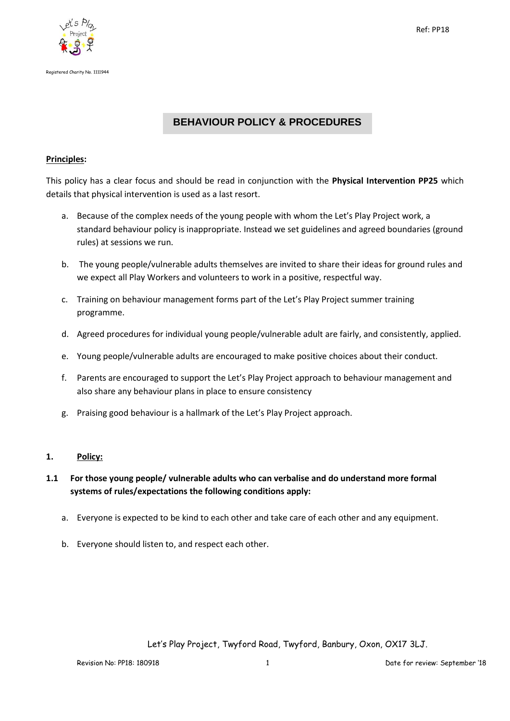



# **BEHAVIOUR POLICY & PROCEDURES**

### **Principles:**

This policy has a clear focus and should be read in conjunction with the **Physical Intervention PP25** which details that physical intervention is used as a last resort.

- a. Because of the complex needs of the young people with whom the Let's Play Project work, a standard behaviour policy is inappropriate. Instead we set guidelines and agreed boundaries (ground rules) at sessions we run.
- b. The young people/vulnerable adults themselves are invited to share their ideas for ground rules and we expect all Play Workers and volunteers to work in a positive, respectful way.
- c. Training on behaviour management forms part of the Let's Play Project summer training programme.
- d. Agreed procedures for individual young people/vulnerable adult are fairly, and consistently, applied.
- e. Young people/vulnerable adults are encouraged to make positive choices about their conduct.
- f. Parents are encouraged to support the Let's Play Project approach to behaviour management and also share any behaviour plans in place to ensure consistency
- g. Praising good behaviour is a hallmark of the Let's Play Project approach.

## **1. Policy:**

# **1.1 For those young people/ vulnerable adults who can verbalise and do understand more formal systems of rules/expectations the following conditions apply:**

- a. Everyone is expected to be kind to each other and take care of each other and any equipment.
- b. Everyone should listen to, and respect each other.

Let's Play Project, Twyford Road, Twyford, Banbury, Oxon, OX17 3LJ.